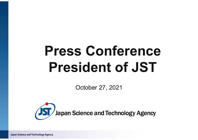# **Press Conference President of JST**

October 27, 2021

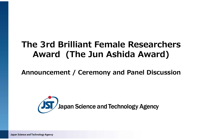## **The 3rd Brilliant Female Researchers Award (The Jun Ashida Award)**

**Announcement / Ceremony and Panel Discussion**

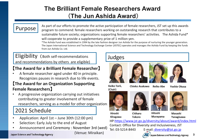## **The Brilliant Female Researchers Award** (**The Jun Ashida Award**)

## Purpose

As part of our efforts to promote the active participation of female researchers, JST set up this awards program to commend: female researchers working on outstanding research that contributes to a sustainable future society; organizations supporting female researchers' activities. The Ashida Fund\* will cooperate to provide a supplementary prize of 1 million yen.

\*The Ashida Fund was established in 1994 by the late fashion designer Jun Ashida for the purpose of nurturing the younger generation. The Japan International Science and Technology Exchange Center (JISTEC) operates and manages the Ashida Fund by keeping the funds from Jun Ashida Co. Ltd.

### Eligibility (Both self-recommendations and recommendations by others are eligible)

### 【**The Award for a Brilliant Female Researcher**】

• A female researcher aged under 40 in principle. Recognizes pauses in research due to life events.

### 【**The Award for an Organization Supporting Female Researchers**】

• A progressive organization carrying out initiatives contributing to greater involvement of female researchers, serving as a model for other organizations

## 2021 Schedule

- Application: April 1st June 30th (12:00 pm)
- Selection: Early July to the end of August
- Announcement and Ceremony : November 3rd (wed)

(Venue: Miraikan)

Japan Science and Technology Agency

## Judges









Keiko Torii. (Chair)

Chieko Asakawa **Reiko Abe**  Yoshie Okusa









Hiroshi **Kitagawa** 

**Tokoro** 

Hitoshi

**Murayama** 

Masashi Yanagisawa

HP:https://www.jst.go.jp/diversity/about/award/index.html Contact: Office for Diversity and Inclusiveness, JST

Tel: 03-5214-8443 E-mail: diversity@jst.go.jp

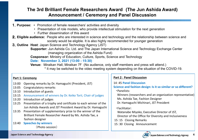### **The 3rd Brilliant Female Researchers Award (The Jun Ashida Award) Announcement / Ceremony and Panel Discussion**

- 1.**Purpose:** ・ Promotion of female researchers' activities and diversity
	- ・ Presentation of role models, who provide intellectual stimulation for the next generation
	- ・ Further dissemination of this award
- 2.**Eligible audience:** People who are interested in science and technology and the relationship between science and society would be eligible. It is also highly recommended for younger generation
- 3.**Outline Host**: Japan Science and Technology Agency (JST)

**Supporter:** Jun Ashida Co. Ltd. and The Japan International Science and Technology Exchange Center (managing organization of the Ashida Fund)

**Cosponsor:** Ministry of Education, Culture, Sports, Science and Technology

**Date: November 3, 2021 (13:00 - 15:30)**

**Venue:** Miraikan Hall, Miraikan 7F (No audience, only staff members and press will attend.) \* It may be switched to the video meeting system depending on the situation of the COVID-19.

#### **Part 1: Ceremony**

- 13:00 Opening remarks by Dr. Hamaguchi (President, JST)
- 13:05 Congratulatory remarks
- 13:10 Introduction of guests
- 13:15 Announcement of winners by Dr. Keiko Torii, Chair of judges
- 13:20 Introduction of judges
- 13:25 Presentation of a trophy and certificate to each winner of the Jun Ashida Awards and JST President Award by Dr. Hamaguchi
- 13:35 Presentation of supplementary prize to the winner of the Brilliant Female Researcher Award by Ms. Ashida Tae, a fashion designer
- 13:40 **Speeches by winners**

(Photo session)

#### **Part 2**: **Panel Discussion**

14:45 **Panel Discussion**

**Science and fashion design: Is it so similar or so different?** ・Panelists:

Winners (researchers and an organization representative) Ms. Ashida Tae, Fashion Designer

Dr. Hamaguchi Michinari, JST President

・Facilitator:

- Watanabe Miyoko, Executive Director of JST,
- Director of the Office for Diversity and Inclusiveness
- 15:15 Closing Remarks
- 15:30 Closing Announcement

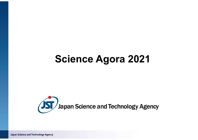## **Science Agora 2021**

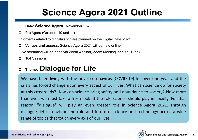## **Science Agora 2021 Outline**

- **Date: Science Agora** November 3-7  $\Box$
- Pre Agora (October 10 and 11)  $\Box$
- \* Contents related to digitalization are planned on the Digital Days 2021.
- **Venues and access:** Science Agora 2021 will be held online.  $\Box$

(Live streaming will be done via Zoom webinar, Zoom Meeting, and YouTube)

104 Sessions  $\Box$ 

#### **Theme: Dialogue for Life**  $\Box$

We have been living with the novel coronavirus (COVID-19) for over one year, and the crisis has forced change upon every aspect of our lives. What can science do for society at this crossroads? How can science bring safety and abundance to society? Now more than ever, we must take a fresh look at the role science should play in society. For that reason, "dialogue" will play an even greater role in Science Agora 2021. Through dialogue, let us envision the role and future of science and technology across a wide range of topics that touch every axis of our lives.

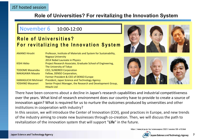### **Role of Universities? For revitalizing the Innovation System**

### November 6 10:00**-**12:00

### **Role of Universities?** For revitalizing the Innovation System

| <b>AMANO Hiroshi</b>       | Professor, Institute of Materials and System for Sustainability, |  |
|----------------------------|------------------------------------------------------------------|--|
|                            | <b>Nagoya University</b>                                         |  |
|                            | 2014 Nobel Laureate in Physics                                   |  |
| <b>KISHI Akiko</b>         | Project Research Associate, Graduate School of Engineering,      |  |
|                            | The University of Tokyo                                          |  |
| <b>TODOME Masanobu</b>     | <b>CEO, SUNDRED Corporation</b>                                  |  |
| <b>NAKAGAWA Masato</b>     | Fellow, DENSO Corporation,                                       |  |
|                            | Former President & CEO of DENSO Europe                           |  |
| <b>HAMAGUCHI Michinari</b> | President, Japan Science and Technology Agency                   |  |
| <b>YOSHINO Masanori</b>    | Senior Project Manager, the Research and Development Group,      |  |
|                            | Hitachi Ltd                                                      |  |



There have been concerns about a decline in Japan's research capabilities and industrial competitiveness over the years. What kind of research environment does our country have to provide to create a source of innovation again? What is required for us to nurture the outcomes produced by universities and other institutions in cooperation with industry?

In this session, we will introduce the Center of Innovation (COI), good practices in Europe, and new trends of the industry aiming to create new businesses through co-creation. Then, we will discuss the path to revitalization of the innovation system that will support "**Life**" in the future.

https://www.jst.go.jp/sis/scienceagora/2021/session/06-e10.html

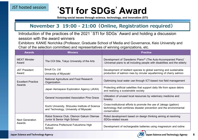JST hosted session

## **'STI for SDGs ' Award**

**Solving social issues through science, technology, and innovation (STI)**

### **November 3 19:00 - 21:00(Online, Registration required)**

Introduction of the practices of the 2021 **'** STI for SDGs **'** Award and holding a discussion session with the award winners

Exhibitors: KANIE Norichika (Professor, Graduate School of Media and Governance, Keio University and Chair of the selection committee) and representatives of winning organizations, etc.

| <b>Awards</b>                       | <b>Winners</b>                                                                            | <b>Practice</b>                                                                                                                                         |
|-------------------------------------|-------------------------------------------------------------------------------------------|---------------------------------------------------------------------------------------------------------------------------------------------------------|
| <b>MEXT Minister</b><br>Award       | The COI Site, Tokyo University of the Arts                                                | Development of 'Daredemo Piano® (The Auto-Accompanied Piano)'<br>-Universal piano to all including people with disabilities and the elderly             |
| <b>JST President</b><br>Award       | Smolt Co. Ltd<br>University of Miyazaki                                                   | Development of resilient species to global warming and sustainable<br>production of salmon roes by circular aquafarming of cherry salmon                |
| <b>Excellent Practice</b><br>Awards | National Agriculture and Food Research<br>Organization                                    | Optimizing local water use through ICT-based rice field management                                                                                      |
|                                     | Japan Aerospace Exploration Agency (JAXA)                                                 | Protecting artificial satellites that support daily life from space debris<br>and realizing a sustainable society                                       |
|                                     | General Incorporated Association Pine Grace                                               | Utilization of unused local resources by veterinary medicine and<br>forestry                                                                            |
|                                     | Kochi University, Shizuoka Institute of Science<br>and Technology, University of Miyazaki | Cross-institutional efforts to promote the use of Jakago (gabion)<br>technology that combines disaster prevention and the environmental<br>conservation |
| <b>Next Generation</b><br>Awards    | Robot Science Club, Otemon Gakuin Otemae<br>Junior & Senior High School                   | Robot development based on design thinking aiming at resolving<br><b>SDGs-related issues</b>                                                            |
|                                     | Fukushima Prefectural Fukushima High<br>School                                            | Development of rechargeable batteries using magnesium and iodine                                                                                        |

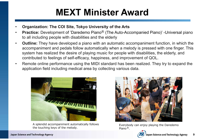## **MEXT Minister Award**

- **Organization: The COI Site, Tokyo University of the Arts**
- **Practice:** Development of 'Daredemo Piano<sup>®</sup> (The Auto-Accompanied Piano)' -Universal piano to all including people with disabilities and the elderly
- **Outline:** They have developed a piano with an automatic accompaniment function, in which the accompaniment and pedals follow automatically when a melody is pressed with one finger. This system has realized the desire of playing music for people with disabilities, the elderly, and contributed to feelings of self-efficacy, happiness, and improvement of QOL.
- Remote online performance using the MIDI standard has been realized. They try to expand the application field including medical area by collecting various data.



A splendid accompaniment automatically follows the touching keys of the melody.



Everybody can enjoy playing the Daredemo Piano<sup>®</sup>.

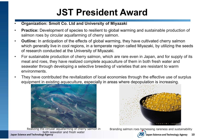## **JST President Award**

- **Organization: Smolt Co. Ltd and University of Miyazaki**
- **Practice:** Development of species to resilient to global warming and sustainable production of salmon roes by circular aquafarming of cherry salmon.
- **Outline:** In anticipation of the effects of global warming, they have cultivated cherry salmon which generally live in cool regions, in a temperate region called Miyazaki, by utilizing the seeds of research conducted at the University of Miyazaki.
- For sustainable production of cherry salmon, which are rare even in Japan, and for supply of its meat and roes, they have realized complete aquaculture of them in both fresh water and seawater through developing a selective breeding of varieties that are resistant to warm environments.
- They have contributed the revitalization of local economies through the effective use of surplus equipment in existing aquaculture, especially in areas where depopulation is increasing.



both seawater and fresh water<br>Japan Science and Technology Agency



Realizing the circular aquafarming of cherry salmon in Branding salmon roes harnessing rareness and sustainability

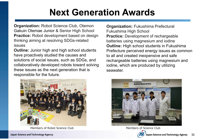## **Next Generation Awards**

**Organization:** Robot Science Club, Otemon Gakuin Otemae Junior & Senior High School **Practice:** Robot development based on design thinking aiming at resolving SDGs-related issues

**Outline:** Junior high and high school students have proactively studied the causes and solutions of social issues, such as SDGs, and collaboratively developed robots toward solving these issues as the next generation that is responsible for the future.



Members of Robot Science Club Members of Science Club

**Organization:** Fukushima Prefectural Fukushima High School **Practice:** Development of rechargeable batteries using magnesium and iodine **Outline:** High school students in Fukushima Prefecture perceived energy issues as common to all and created inexpensive and safe rechargeable batteries using magnesium and iodine, which are produced by utilizing seawater.



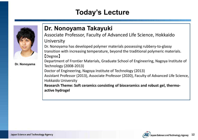## **Today's Lecture**



**Dr. Nonoyama**

## **Dr. Nonoyama Takayuki**

Associate Professor, Faculty of Advanced Life Science, Hokkaido **University** 

Dr. Nonoyama has developed polymer materials possessing rubbery-to-glassy transition with increasing temperature, beyond the traditional polymeric materials. 【Degree】

Department of Frontier Materials, Graduate School of Engineering, Nagoya Institute of Technology (2008-2013)

Doctor of Engineering, Nagoya Institute of Technology (2013)

Assistant Professor (2013), Associate Professor (2020), Faculty of Advanced Life Science, Hokkaido University

**Research Theme: Soft ceramics consisting of bioceramics and robust gel, thermoactive hydrogel**